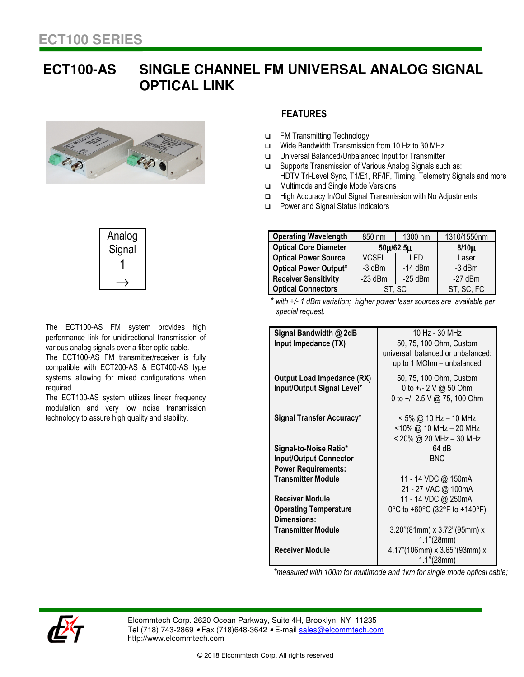## **ECT100-AS SINGLE CHANNEL FM UNIVERSAL ANALOG SIGNAL OPTICAL LINK**





The ECT100-AS FM system provides high performance link for unidirectional transmission of various analog signals over a fiber optic cable.

The ECT100-AS FM transmitter/receiver is fully compatible with ECT200-AS & ECT400-AS type systems allowing for mixed configurations when required.

The ECT100-AS system utilizes linear frequency modulation and very low noise transmission technology to assure high quality and stability.

## **FEATURES**

- □ FM Transmitting Technology
- Wide Bandwidth Transmission from 10 Hz to 30 MHz
- Universal Balanced/Unbalanced Input for Transmitter
- □ Supports Transmission of Various Analog Signals such as: HDTV Tri-Level Sync, T1/E1, RF/IF, Timing, Telemetry Signals and more
- **In Multimode and Single Mode Versions**
- □ High Accuracy In/Out Signal Transmission with No Adjustments
- □ Power and Signal Status Indicators

| <b>Operating Wavelength</b>  | 850 nm          | 1300 nm   | 1310/1550nm |
|------------------------------|-----------------|-----------|-------------|
| <b>Optical Core Diameter</b> | $50\mu/62.5\mu$ |           | $8/10\mu$   |
| <b>Optical Power Source</b>  | <b>VCSEL</b>    | I FD      | Laser       |
| <b>Optical Power Output*</b> | $-3$ dBm        | $-14$ dBm | $-3$ dBm    |
| <b>Receiver Sensitivity</b>  | $-23$ dBm       | $-25$ dBm | $-27$ dBm   |
| <b>Optical Connectors</b>    | ST, SC          |           | ST, SC, FC  |

*\* with +/- 1 dBm variation; higher power laser sources are available per special request.* 

| Signal Bandwidth @ 2dB            | 10 Hz - 30 MHz                     |
|-----------------------------------|------------------------------------|
| Input Impedance (TX)              | 50, 75, 100 Ohm, Custom            |
|                                   |                                    |
|                                   | universal: balanced or unbalanced; |
|                                   | up to 1 MOhm - unbalanced          |
| <b>Output Load Impedance (RX)</b> | 50, 75, 100 Ohm, Custom            |
| Input/Output Signal Level*        | 0 to +/- 2 V @ 50 Ohm              |
|                                   | 0 to +/- 2.5 V @ 75, 100 Ohm       |
|                                   |                                    |
| <b>Signal Transfer Accuracy*</b>  | $<$ 5% @ 10 Hz – 10 MHz            |
|                                   | $<$ 10% @ 10 MHz - 20 MHz          |
|                                   | < 20% @ 20 MHz - 30 MHz            |
|                                   |                                    |
| Signal-to-Noise Ratio*            | 64 dB                              |
| <b>Input/Output Connector</b>     | <b>BNC</b>                         |
| <b>Power Requirements:</b>        |                                    |
| <b>Transmitter Module</b>         | 11 - 14 VDC @ 150mA,               |
|                                   | 21 - 27 VAC @ 100mA                |
| <b>Receiver Module</b>            | 11 - 14 VDC @ 250mA,               |
| <b>Operating Temperature</b>      | 0°C to +60°C (32°F to +140°F)      |
| <b>Dimensions:</b>                |                                    |
| <b>Transmitter Module</b>         | $3.20$ "(81mm) x $3.72$ "(95mm) x  |
|                                   | $1.1$ "(28mm)                      |
| <b>Receiver Module</b>            | 4.17"(106mm) x 3.65"(93mm) x       |
|                                   |                                    |
|                                   | 1.1"(28mm)                         |

*\*measured with 100m for multimode and 1km for single mode optical cable;*